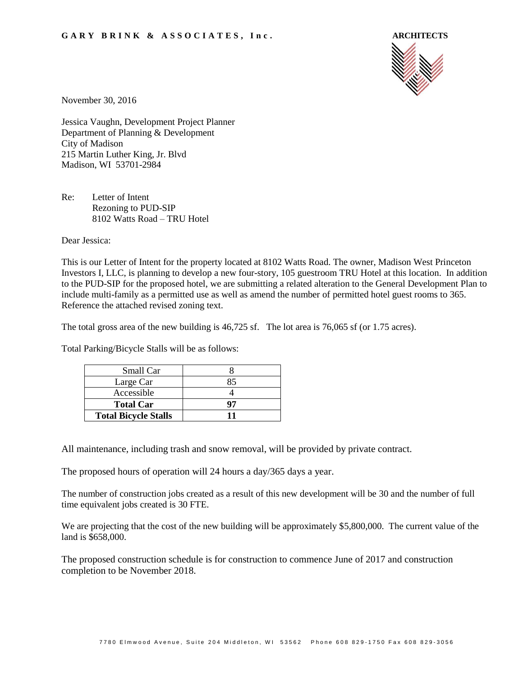

November 30, 2016

Jessica Vaughn, Development Project Planner Department of Planning & Development City of Madison 215 Martin Luther King, Jr. Blvd Madison, WI 53701-2984

Re: Letter of Intent Rezoning to PUD-SIP 8102 Watts Road – TRU Hotel

Dear Jessica:

This is our Letter of Intent for the property located at 8102 Watts Road. The owner, Madison West Princeton Investors I, LLC, is planning to develop a new four-story, 105 guestroom TRU Hotel at this location. In addition to the PUD-SIP for the proposed hotel, we are submitting a related alteration to the General Development Plan to include multi-family as a permitted use as well as amend the number of permitted hotel guest rooms to 365. Reference the attached revised zoning text.

The total gross area of the new building is 46,725 sf. The lot area is 76,065 sf (or 1.75 acres).

Total Parking/Bicycle Stalls will be as follows:

| Small Car                   |    |
|-----------------------------|----|
| Large Car                   | 85 |
| Accessible                  |    |
| <b>Total Car</b>            | Q7 |
| <b>Total Bicycle Stalls</b> |    |

All maintenance, including trash and snow removal, will be provided by private contract.

The proposed hours of operation will 24 hours a day/365 days a year.

The number of construction jobs created as a result of this new development will be 30 and the number of full time equivalent jobs created is 30 FTE.

We are projecting that the cost of the new building will be approximately \$5,800,000. The current value of the land is \$658,000.

The proposed construction schedule is for construction to commence June of 2017 and construction completion to be November 2018.